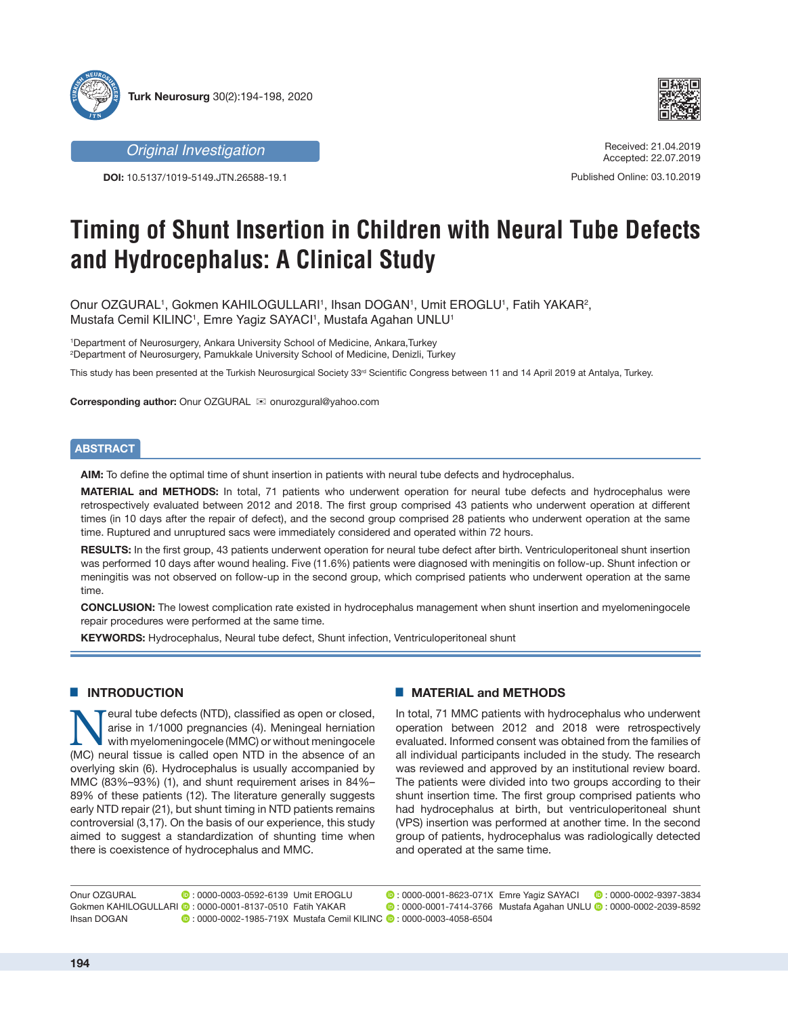

*Original Investigation*

**DOI:** 10.5137/1019-5149.JTN.26588-19.1



Received: 21.04.2019 Accepted: 22.07.2019

Published Online: 03.10.2019

# **Timing of Shunt Insertion in Children with Neural Tube Defects and Hydrocephalus: A Clinical Study**

Onur OZGURAL1, Gokmen KAHILOGULLARI1, Ihsan DOGAN1, Umit EROGLU1, Fatih YAKAR<sup>2</sup>, Mustafa Cemil KILINC1, Emre Yagiz SAYACI1, Mustafa Agahan UNLU1

1 Department of Neurosurgery, Ankara University School of Medicine, Ankara,Turkey 2 Department of Neurosurgery, Pamukkale University School of Medicine, Denizli, Turkey

This study has been presented at the Turkish Neurosurgical Society 33<sup>rd</sup> Scientific Congress between 11 and 14 April 2019 at Antalya, Turkey.

**Corresponding author:** Onur OZGURAL **imediate onurozgural@yahoo.com** 

## **ABSTRACT**

**AIM:** To define the optimal time of shunt insertion in patients with neural tube defects and hydrocephalus.

**MATERIAL and METHODS:** In total, 71 patients who underwent operation for neural tube defects and hydrocephalus were retrospectively evaluated between 2012 and 2018. The first group comprised 43 patients who underwent operation at different times (in 10 days after the repair of defect), and the second group comprised 28 patients who underwent operation at the same time. Ruptured and unruptured sacs were immediately considered and operated within 72 hours.

**RESULTS:** In the first group, 43 patients underwent operation for neural tube defect after birth. Ventriculoperitoneal shunt insertion was performed 10 days after wound healing. Five (11.6%) patients were diagnosed with meningitis on follow-up. Shunt infection or meningitis was not observed on follow-up in the second group, which comprised patients who underwent operation at the same time.

**CONCLUSION:** The lowest complication rate existed in hydrocephalus management when shunt insertion and myelomeningocele repair procedures were performed at the same time.

**KEYWORDS:** Hydrocephalus, Neural tube defect, Shunt infection, Ventriculoperitoneal shunt

# **E INTRODUCTION**

Neural tube defects (NTD), classified as open or closed,<br>
arise in 1/1000 pregnancies (4). Meningeal herniation<br>
with myelomeningocele (MMC) or without meningocele<br>
(MC) paural tissue is called open NTD in the absence of a arise in 1/1000 pregnancies (4). Meningeal herniation (MC) neural tissue is called open NTD in the absence of an overlying skin (6). Hydrocephalus is usually accompanied by MMC (83%–93%) (1), and shunt requirement arises in 84%– 89% of these patients (12). The literature generally suggests early NTD repair (21), but shunt timing in NTD patients remains controversial (3,17). On the basis of our experience, this study aimed to suggest a standardization of shunting time when there is coexistence of hydrocephalus and MMC.

## █ **MATERIAL and METHODS**

In total, 71 MMC patients with hydrocephalus who underwent operation between 2012 and 2018 were retrospectively evaluated. Informed consent was obtained from the families of all individual participants included in the study. The research was reviewed and approved by an institutional review board. The patients were divided into two groups according to their shunt insertion time. The first group comprised patients who had hydrocephalus at birth, but ventriculoperitoneal shunt (VPS) insertion was performed at another time. In the second group of patients, hydrocephalus was radiologically detected and operated at the same time.

Emre Yagiz SAYACI: 0000-0002-9397-3834 Umit EROGLU : 0000-0001-8623-071X Mustafa Agahan UNLU: 0000-0002-2039-8592 Fatih YAKAR : 0000-0001-7414-3766 Onur OZGURAL **D**: 0000-0003-0592-6139 Umit FROGLU Gokmen KAHILOGULLARI **·** : 0000-0001-8137-0510 Fatih YAKAR Ihsan DOGAN : 0000-0002-1985-719X Mustafa Cemil KILINC : 0000-0003-4058-6504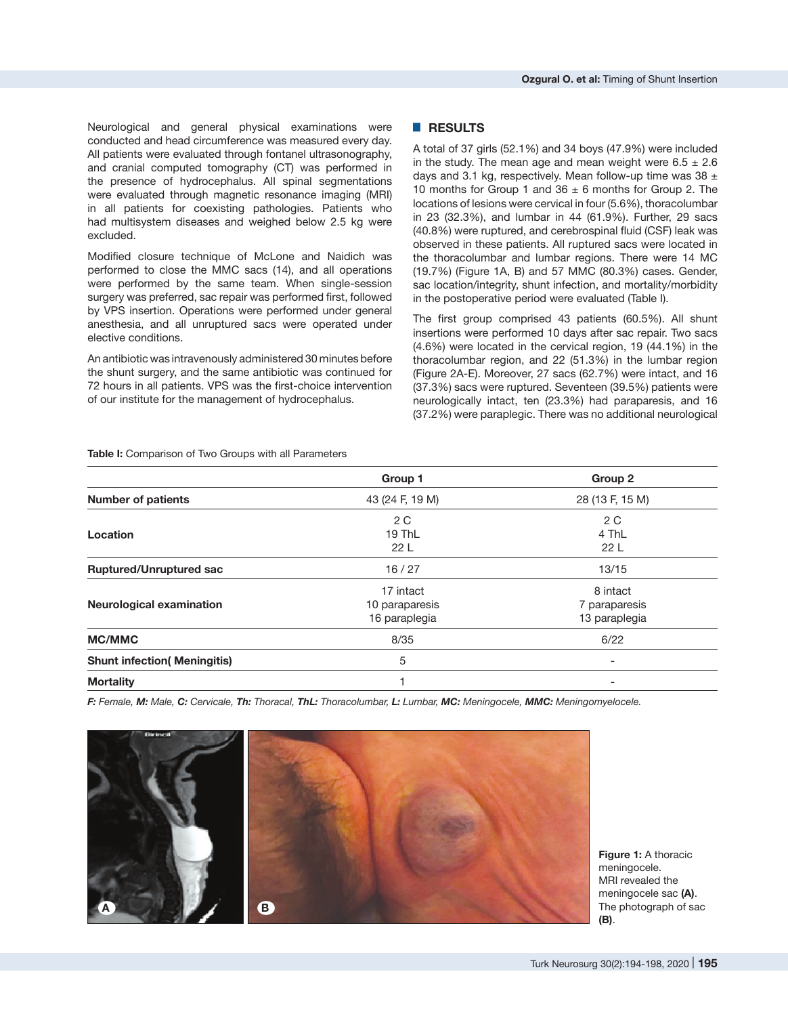Neurological and general physical examinations were conducted and head circumference was measured every day. All patients were evaluated through fontanel ultrasonography, and cranial computed tomography (CT) was performed in the presence of hydrocephalus. All spinal segmentations were evaluated through magnetic resonance imaging (MRI) in all patients for coexisting pathologies. Patients who had multisystem diseases and weighed below 2.5 kg were excluded.

Modified closure technique of McLone and Naidich was performed to close the MMC sacs (14), and all operations were performed by the same team. When single-session surgery was preferred, sac repair was performed first, followed by VPS insertion. Operations were performed under general anesthesia, and all unruptured sacs were operated under elective conditions.

An antibiotic was intravenously administered 30 minutes before the shunt surgery, and the same antibiotic was continued for 72 hours in all patients. VPS was the first-choice intervention of our institute for the management of hydrocephalus.

#### █ **RESULTS**

A total of 37 girls (52.1%) and 34 boys (47.9%) were included in the study. The mean age and mean weight were  $6.5 \pm 2.6$ days and 3.1 kg, respectively. Mean follow-up time was 38  $\pm$ 10 months for Group 1 and  $36 \pm 6$  months for Group 2. The locations of lesions were cervical in four (5.6%), thoracolumbar in 23 (32.3%), and lumbar in 44 (61.9%). Further, 29 sacs (40.8%) were ruptured, and cerebrospinal fluid (CSF) leak was observed in these patients. All ruptured sacs were located in the thoracolumbar and lumbar regions. There were 14 MC (19.7%) (Figure 1A, B) and 57 MMC (80.3%) cases. Gender, sac location/integrity, shunt infection, and mortality/morbidity in the postoperative period were evaluated (Table I).

The first group comprised 43 patients (60.5%). All shunt insertions were performed 10 days after sac repair. Two sacs (4.6%) were located in the cervical region, 19 (44.1%) in the thoracolumbar region, and 22 (51.3%) in the lumbar region (Figure 2A-E). Moreover, 27 sacs (62.7%) were intact, and 16 (37.3%) sacs were ruptured. Seventeen (39.5%) patients were neurologically intact, ten (23.3%) had paraparesis, and 16 (37.2%) were paraplegic. There was no additional neurological

**Table I:** Comparison of Two Groups with all Parameters

|                                     | Group 1         | Group 2                  |
|-------------------------------------|-----------------|--------------------------|
| <b>Number of patients</b>           | 43 (24 F, 19 M) | 28 (13 F, 15 M)          |
|                                     | 2 C             | 2 C                      |
| Location                            | 19 ThL          | 4 ThL                    |
|                                     | 22 <sub>L</sub> | 22L                      |
| <b>Ruptured/Unruptured sac</b>      | 16/27           | 13/15                    |
|                                     | 17 intact       | 8 intact                 |
| <b>Neurological examination</b>     | 10 paraparesis  | 7 paraparesis            |
|                                     | 16 paraplegia   | 13 paraplegia            |
| <b>MC/MMC</b>                       | 8/35            | 6/22                     |
| <b>Shunt infection( Meningitis)</b> | 5               | $\overline{\phantom{a}}$ |
| <b>Mortality</b>                    |                 |                          |

F: Female, M: Male, C: Cervicale, Th: Thoracal, ThL: Thoracolumbar, L: Lumbar, MC: Meningocele, MMC: Meningomyelocele.



**Figure 1: A thoracic** meningocele. MRI revealed the meningocele sac **(A)**. The photograph of sac **(B)**.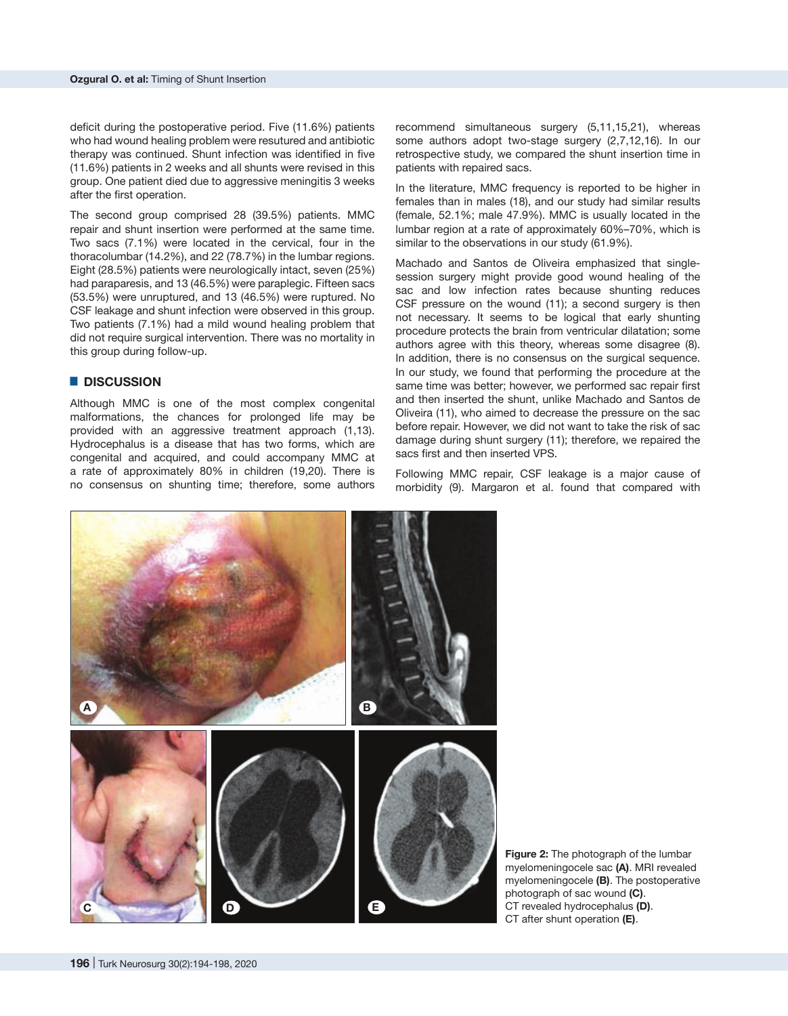deficit during the postoperative period. Five (11.6%) patients who had wound healing problem were resutured and antibiotic therapy was continued. Shunt infection was identified in five (11.6%) patients in 2 weeks and all shunts were revised in this group. One patient died due to aggressive meningitis 3 weeks after the first operation.

The second group comprised 28 (39.5%) patients. MMC repair and shunt insertion were performed at the same time. Two sacs (7.1%) were located in the cervical, four in the thoracolumbar (14.2%), and 22 (78.7%) in the lumbar regions. Eight (28.5%) patients were neurologically intact, seven (25%) had paraparesis, and 13 (46.5%) were paraplegic. Fifteen sacs (53.5%) were unruptured, and 13 (46.5%) were ruptured. No CSF leakage and shunt infection were observed in this group. Two patients (7.1%) had a mild wound healing problem that did not require surgical intervention. There was no mortality in this group during follow-up.

#### █ **DISCUSSION**

Although MMC is one of the most complex congenital malformations, the chances for prolonged life may be provided with an aggressive treatment approach (1,13). Hydrocephalus is a disease that has two forms, which are congenital and acquired, and could accompany MMC at a rate of approximately 80% in children (19,20). There is no consensus on shunting time; therefore, some authors recommend simultaneous surgery (5,11,15,21), whereas some authors adopt two-stage surgery (2,7,12,16). In our retrospective study, we compared the shunt insertion time in patients with repaired sacs.

In the literature, MMC frequency is reported to be higher in females than in males (18), and our study had similar results (female, 52.1%; male 47.9%). MMC is usually located in the lumbar region at a rate of approximately 60%–70%, which is similar to the observations in our study (61.9%).

Machado and Santos de Oliveira emphasized that singlesession surgery might provide good wound healing of the sac and low infection rates because shunting reduces CSF pressure on the wound (11); a second surgery is then not necessary. It seems to be logical that early shunting procedure protects the brain from ventricular dilatation; some authors agree with this theory, whereas some disagree (8). In addition, there is no consensus on the surgical sequence. In our study, we found that performing the procedure at the same time was better; however, we performed sac repair first and then inserted the shunt, unlike Machado and Santos de Oliveira (11), who aimed to decrease the pressure on the sac before repair. However, we did not want to take the risk of sac damage during shunt surgery (11); therefore, we repaired the sacs first and then inserted VPS.

Following MMC repair, CSF leakage is a major cause of morbidity (9). Margaron et al. found that compared with



**Figure 2:** The photograph of the lumbar myelomeningocele sac **(A)**. MRI revealed myelomeningocele **(B)**. The postoperative photograph of sac wound **(C)**. CT revealed hydrocephalus **(D)**. CT after shunt operation **(E)**.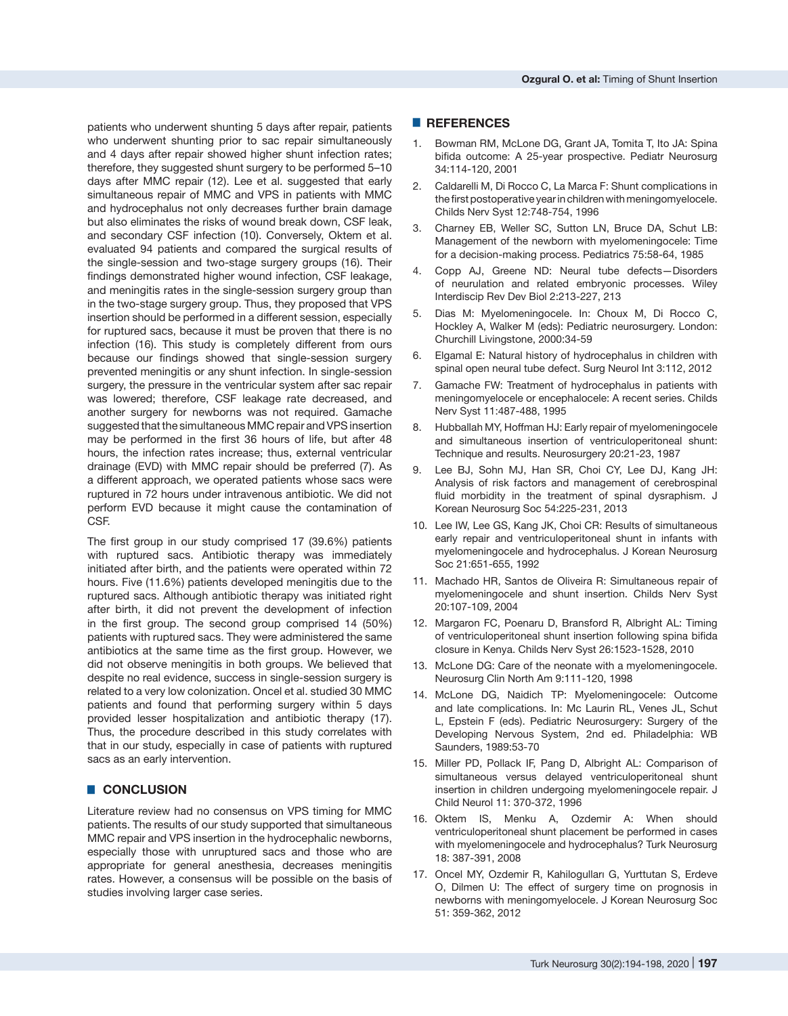patients who underwent shunting 5 days after repair, patients who underwent shunting prior to sac repair simultaneously and 4 days after repair showed higher shunt infection rates; therefore, they suggested shunt surgery to be performed 5–10 days after MMC repair (12). Lee et al. suggested that early simultaneous repair of MMC and VPS in patients with MMC and hydrocephalus not only decreases further brain damage but also eliminates the risks of wound break down, CSF leak, and secondary CSF infection (10). Conversely, Oktem et al. evaluated 94 patients and compared the surgical results of the single-session and two-stage surgery groups (16). Their findings demonstrated higher wound infection, CSF leakage, and meningitis rates in the single-session surgery group than in the two-stage surgery group. Thus, they proposed that VPS insertion should be performed in a different session, especially for ruptured sacs, because it must be proven that there is no infection (16). This study is completely different from ours because our findings showed that single-session surgery prevented meningitis or any shunt infection. In single-session surgery, the pressure in the ventricular system after sac repair was lowered; therefore, CSF leakage rate decreased, and another surgery for newborns was not required. Gamache suggested that the simultaneous MMC repair and VPS insertion may be performed in the first 36 hours of life, but after 48 hours, the infection rates increase; thus, external ventricular drainage (EVD) with MMC repair should be preferred (7). As a different approach, we operated patients whose sacs were ruptured in 72 hours under intravenous antibiotic. We did not perform EVD because it might cause the contamination of CSF.

The first group in our study comprised 17 (39.6%) patients with ruptured sacs. Antibiotic therapy was immediately initiated after birth, and the patients were operated within 72 hours. Five (11.6%) patients developed meningitis due to the ruptured sacs. Although antibiotic therapy was initiated right after birth, it did not prevent the development of infection in the first group. The second group comprised 14 (50%) patients with ruptured sacs. They were administered the same antibiotics at the same time as the first group. However, we did not observe meningitis in both groups. We believed that despite no real evidence, success in single-session surgery is related to a very low colonization. Oncel et al. studied 30 MMC patients and found that performing surgery within 5 days provided lesser hospitalization and antibiotic therapy (17). Thus, the procedure described in this study correlates with that in our study, especially in case of patients with ruptured sacs as an early intervention.

## █ **CONCLUSION**

Literature review had no consensus on VPS timing for MMC patients. The results of our study supported that simultaneous MMC repair and VPS insertion in the hydrocephalic newborns, especially those with unruptured sacs and those who are appropriate for general anesthesia, decreases meningitis rates. However, a consensus will be possible on the basis of studies involving larger case series.

#### █ **REFERENCES**

- 1. Bowman RM, McLone DG, Grant JA, Tomita T, Ito JA: Spina bifida outcome: A 25-year prospective. Pediatr Neurosurg 34:114-120, 2001
- 2. Caldarelli M, Di Rocco C, La Marca F: Shunt complications in the first postoperative year in children with meningomyelocele. Childs Nerv Syst 12:748-754, 1996
- 3. Charney EB, Weller SC, Sutton LN, Bruce DA, Schut LB: Management of the newborn with myelomeningocele: Time for a decision-making process. Pediatrics 75:58-64, 1985
- 4. Copp AJ, Greene ND: Neural tube defects—Disorders of neurulation and related embryonic processes. Wiley Interdiscip Rev Dev Biol 2:213-227, 213
- 5. Dias M: Myelomeningocele. In: Choux M, Di Rocco C, Hockley A, Walker M (eds): Pediatric neurosurgery. London: Churchill Livingstone, 2000:34-59
- 6. Elgamal E: Natural history of hydrocephalus in children with spinal open neural tube defect. Surg Neurol Int 3:112, 2012
- 7. Gamache FW: Treatment of hydrocephalus in patients with meningomyelocele or encephalocele: A recent series. Childs Nerv Syst 11:487-488, 1995
- 8. Hubballah MY, Hoffman HJ: Early repair of myelomeningocele and simultaneous insertion of ventriculoperitoneal shunt: Technique and results. Neurosurgery 20:21-23, 1987
- 9. Lee BJ, Sohn MJ, Han SR, Choi CY, Lee DJ, Kang JH: Analysis of risk factors and management of cerebrospinal fluid morbidity in the treatment of spinal dysraphism. J Korean Neurosurg Soc 54:225-231, 2013
- 10. Lee IW, Lee GS, Kang JK, Choi CR: Results of simultaneous early repair and ventriculoperitoneal shunt in infants with myelomeningocele and hydrocephalus. J Korean Neurosurg Soc 21:651-655, 1992
- 11. Machado HR, Santos de Oliveira R: Simultaneous repair of myelomeningocele and shunt insertion. Childs Nerv Syst 20:107-109, 2004
- 12. Margaron FC, Poenaru D, Bransford R, Albright AL: Timing of ventriculoperitoneal shunt insertion following spina bifida closure in Kenya. Childs Nerv Syst 26:1523-1528, 2010
- 13. McLone DG: Care of the neonate with a myelomeningocele. Neurosurg Clin North Am 9:111-120, 1998
- 14. McLone DG, Naidich TP: Myelomeningocele: Outcome and late complications. In: Mc Laurin RL, Venes JL, Schut L, Epstein F (eds). Pediatric Neurosurgery: Surgery of the Developing Nervous System, 2nd ed. Philadelphia: WB Saunders, 1989:53-70
- 15. Miller PD, Pollack IF, Pang D, Albright AL: Comparison of simultaneous versus delayed ventriculoperitoneal shunt insertion in children undergoing myelomeningocele repair. J Child Neurol 11: 370-372, 1996
- 16. Oktem IS, Menku A, Ozdemir A: When should ventriculoperitoneal shunt placement be performed in cases with myelomeningocele and hydrocephalus? Turk Neurosurg 18: 387-391, 2008
- 17. Oncel MY, Ozdemir R, Kahilogulları G, Yurttutan S, Erdeve O, Dilmen U: The effect of surgery time on prognosis in newborns with meningomyelocele. J Korean Neurosurg Soc 51: 359-362, 2012